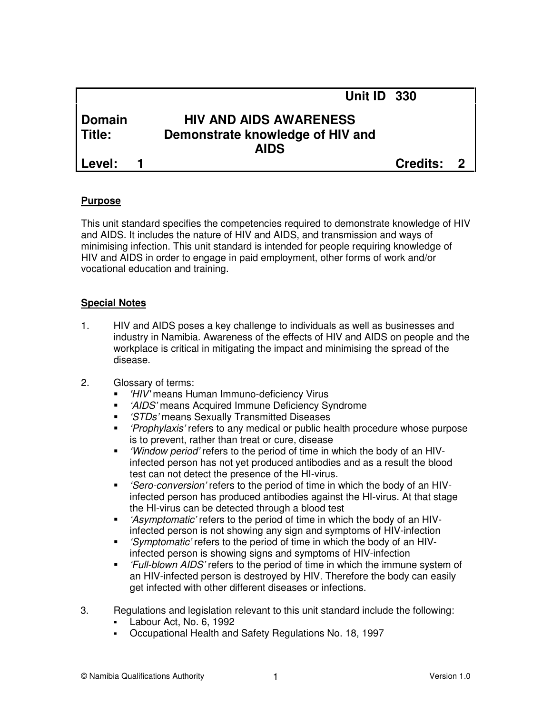|        | Unit ID 330                      |            |  |
|--------|----------------------------------|------------|--|
| Domain | <b>HIV AND AIDS AWARENESS</b>    |            |  |
| Title: | Demonstrate knowledge of HIV and |            |  |
|        | <b>AIDS</b>                      |            |  |
| Level: |                                  | Credits: 2 |  |
|        |                                  |            |  |

#### **Purpose**

This unit standard specifies the competencies required to demonstrate knowledge of HIV and AIDS. It includes the nature of HIV and AIDS, and transmission and ways of minimising infection. This unit standard is intended for people requiring knowledge of HIV and AIDS in order to engage in paid employment, other forms of work and/or vocational education and training.

#### **Special Notes**

- 1. HIV and AIDS poses a key challenge to individuals as well as businesses and industry in Namibia. Awareness of the effects of HIV and AIDS on people and the workplace is critical in mitigating the impact and minimising the spread of the disease.
- 2. Glossary of terms:
	- **-** 'HIV' means Human Immuno-deficiency Virus
	- 'AIDS' means Acquired Immune Deficiency Syndrome
	- **STDs' means Sexually Transmitted Diseases**
	- **F** 'Prophylaxis' refers to any medical or public health procedure whose purpose is to prevent, rather than treat or cure, disease
	- 'Window period' refers to the period of time in which the body of an HIVinfected person has not yet produced antibodies and as a result the blood test can not detect the presence of the HI-virus.
	- 'Sero-conversion' refers to the period of time in which the body of an HIVinfected person has produced antibodies against the HI-virus. At that stage the HI-virus can be detected through a blood test
	- 'Asymptomatic' refers to the period of time in which the body of an HIVinfected person is not showing any sign and symptoms of HIV-infection
	- 'Symptomatic' refers to the period of time in which the body of an HIVinfected person is showing signs and symptoms of HIV-infection
	- 'Full-blown AIDS' refers to the period of time in which the immune system of an HIV-infected person is destroyed by HIV. Therefore the body can easily get infected with other different diseases or infections.
- 3. Regulations and legislation relevant to this unit standard include the following:
	- Labour Act, No. 6, 1992
	- Occupational Health and Safety Regulations No. 18, 1997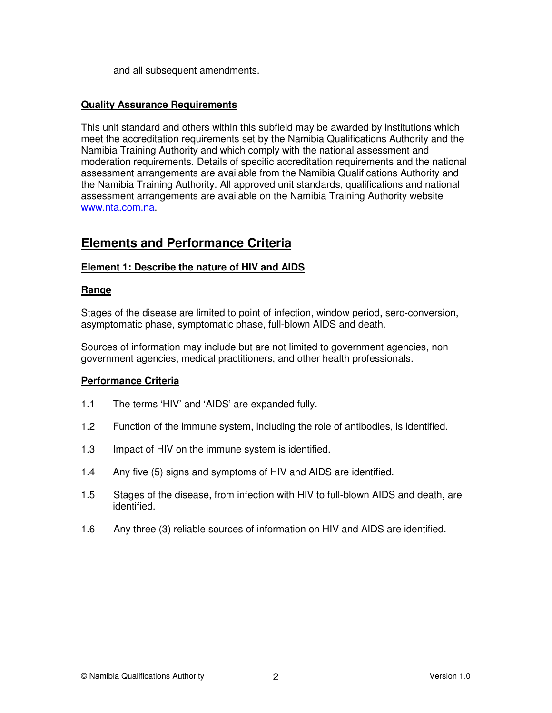and all subsequent amendments.

#### **Quality Assurance Requirements**

This unit standard and others within this subfield may be awarded by institutions which meet the accreditation requirements set by the Namibia Qualifications Authority and the Namibia Training Authority and which comply with the national assessment and moderation requirements. Details of specific accreditation requirements and the national assessment arrangements are available from the Namibia Qualifications Authority and the Namibia Training Authority. All approved unit standards, qualifications and national assessment arrangements are available on the Namibia Training Authority website www.nta.com.na.

# **Elements and Performance Criteria**

### **Element 1: Describe the nature of HIV and AIDS**

#### **Range**

Stages of the disease are limited to point of infection, window period, sero-conversion, asymptomatic phase, symptomatic phase, full-blown AIDS and death.

Sources of information may include but are not limited to government agencies, non government agencies, medical practitioners, and other health professionals.

#### **Performance Criteria**

- 1.1 The terms 'HIV' and 'AIDS' are expanded fully.
- 1.2 Function of the immune system, including the role of antibodies, is identified.
- 1.3 Impact of HIV on the immune system is identified.
- 1.4 Any five (5) signs and symptoms of HIV and AIDS are identified.
- 1.5 Stages of the disease, from infection with HIV to full-blown AIDS and death, are identified.
- 1.6 Any three (3) reliable sources of information on HIV and AIDS are identified.